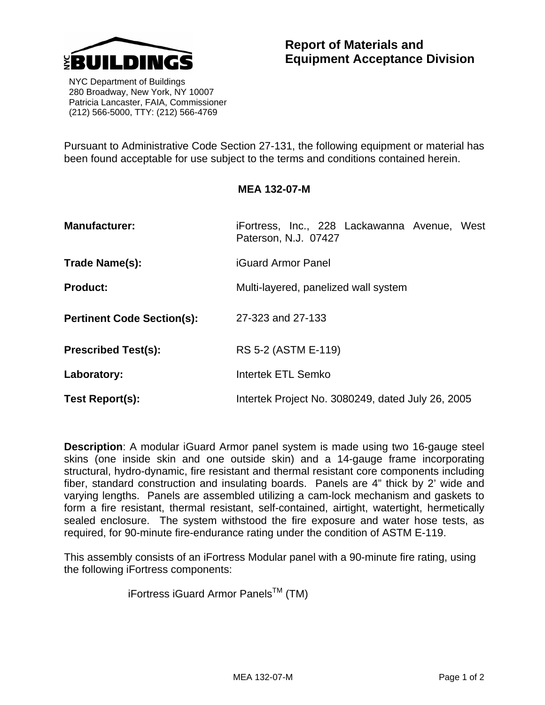

 NYC Department of Buildings 280 Broadway, New York, NY 10007 Patricia Lancaster, FAIA, Commissioner (212) 566-5000, TTY: (212) 566-4769

Pursuant to Administrative Code Section 27-131, the following equipment or material has been found acceptable for use subject to the terms and conditions contained herein.

## **MEA 132-07-M**

| <b>Manufacturer:</b>              | iFortress, Inc., 228 Lackawanna Avenue, West<br>Paterson, N.J. 07427 |
|-----------------------------------|----------------------------------------------------------------------|
| Trade Name(s):                    | <b>iGuard Armor Panel</b>                                            |
| <b>Product:</b>                   | Multi-layered, panelized wall system                                 |
| <b>Pertinent Code Section(s):</b> | 27-323 and 27-133                                                    |
| <b>Prescribed Test(s):</b>        | RS 5-2 (ASTM E-119)                                                  |
| Laboratory:                       | <b>Intertek ETL Semko</b>                                            |
| Test Report(s):                   | Intertek Project No. 3080249, dated July 26, 2005                    |

**Description**: A modular iGuard Armor panel system is made using two 16-gauge steel skins (one inside skin and one outside skin) and a 14-gauge frame incorporating structural, hydro-dynamic, fire resistant and thermal resistant core components including fiber, standard construction and insulating boards. Panels are 4" thick by 2' wide and varying lengths. Panels are assembled utilizing a cam-lock mechanism and gaskets to form a fire resistant, thermal resistant, self-contained, airtight, watertight, hermetically sealed enclosure. The system withstood the fire exposure and water hose tests, as required, for 90-minute fire-endurance rating under the condition of ASTM E-119.

This assembly consists of an iFortress Modular panel with a 90-minute fire rating, using the following iFortress components:

iFortress iGuard Armor Panels<sup>TM</sup> (TM)